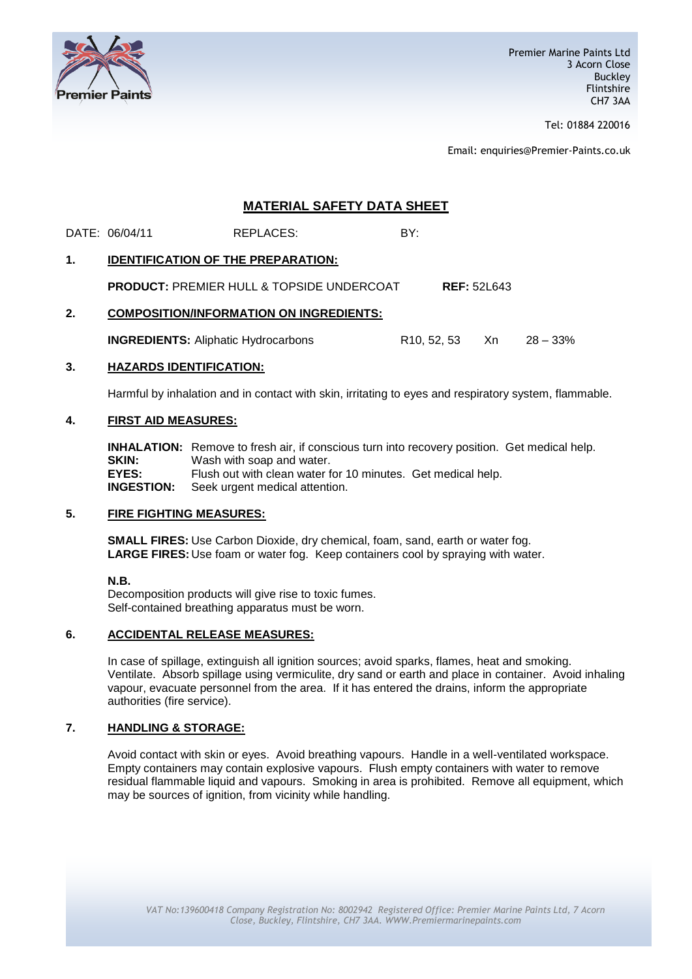

Tel: 01884 220016

Email: enquiries@Premier-Paints.co.uk

# **MATERIAL SAFETY DATA SHEET**

DATE: 06/04/11 REPLACES: BY:

## **1. IDENTIFICATION OF THE PREPARATION:**

**PRODUCT:** PREMIER HULL & TOPSIDE UNDERCOAT **REF:** 52L643

## **2. COMPOSITION/INFORMATION ON INGREDIENTS:**

**INGREDIENTS:** Aliphatic Hydrocarbons R10, 52, 53 Xn 28 – 33%

#### **3. HAZARDS IDENTIFICATION:**

Harmful by inhalation and in contact with skin, irritating to eyes and respiratory system, flammable.

### **4. FIRST AID MEASURES:**

**INHALATION:** Remove to fresh air, if conscious turn into recovery position. Get medical help. **SKIN:** Wash with soap and water. **EYES:** Flush out with clean water for 10 minutes. Get medical help. **INGESTION:** Seek urgent medical attention.

#### **5. FIRE FIGHTING MEASURES:**

**SMALL FIRES:** Use Carbon Dioxide, dry chemical, foam, sand, earth or water fog. **LARGE FIRES:** Use foam or water fog. Keep containers cool by spraying with water.

#### **N.B.**

Decomposition products will give rise to toxic fumes. Self-contained breathing apparatus must be worn.

# **6. ACCIDENTAL RELEASE MEASURES:**

In case of spillage, extinguish all ignition sources; avoid sparks, flames, heat and smoking. Ventilate. Absorb spillage using vermiculite, dry sand or earth and place in container. Avoid inhaling vapour, evacuate personnel from the area. If it has entered the drains, inform the appropriate authorities (fire service).

# **7. HANDLING & STORAGE:**

Avoid contact with skin or eyes. Avoid breathing vapours. Handle in a well-ventilated workspace. Empty containers may contain explosive vapours. Flush empty containers with water to remove residual flammable liquid and vapours. Smoking in area is prohibited. Remove all equipment, which may be sources of ignition, from vicinity while handling.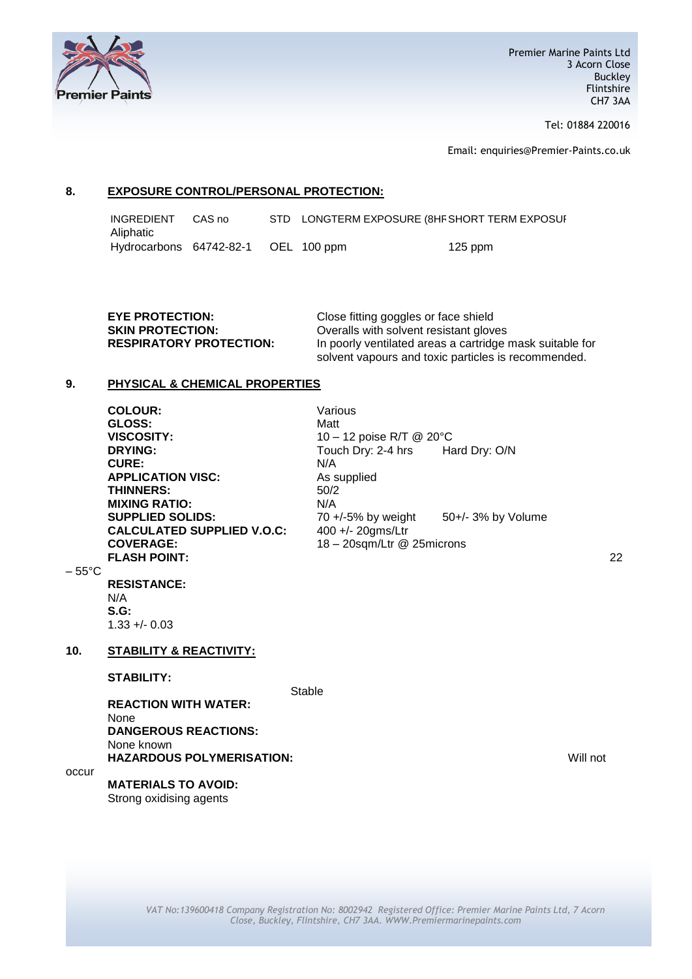

Tel: 01884 220016

Email: enquiries@Premier-Paints.co.uk

# **8. EXPOSURE CONTROL/PERSONAL PROTECTION:**

INGREDIENT CAS no STD LONGTERM EXPOSURE (8HF SHORT TERM EXPOSUR Aliphatic Hydrocarbons 64742-82-1 OEL 100 ppm 125 ppm

| <b>EYE PROTECTION:</b>         | Close fitting goggles or face shield                     |
|--------------------------------|----------------------------------------------------------|
| <b>SKIN PROTECTION:</b>        | Overalls with solvent resistant gloves                   |
| <b>RESPIRATORY PROTECTION:</b> | In poorly ventilated areas a cartridge mask suitable for |
|                                | solvent vapours and toxic particles is recommended.      |

## **9. PHYSICAL & CHEMICAL PROPERTIES**

|                 | <b>COLOUR:</b>                     | Various                               |               |          |
|-----------------|------------------------------------|---------------------------------------|---------------|----------|
|                 | GLOSS:                             | Matt                                  |               |          |
|                 | <b>VISCOSITY:</b>                  | 10 - 12 poise R/T @ 20°C              |               |          |
|                 | <b>DRYING:</b>                     | Touch Dry: 2-4 hrs                    | Hard Dry: O/N |          |
|                 | <b>CURE:</b>                       | N/A                                   |               |          |
|                 | <b>APPLICATION VISC:</b>           | As supplied                           |               |          |
|                 | <b>THINNERS:</b>                   | 50/2                                  |               |          |
|                 | <b>MIXING RATIO:</b>               | N/A                                   |               |          |
|                 | <b>SUPPLIED SOLIDS:</b>            | 70 +/-5% by weight 50+/- 3% by Volume |               |          |
|                 | <b>CALCULATED SUPPLIED V.O.C:</b>  | 400 +/- 20gms/Ltr                     |               |          |
|                 | <b>COVERAGE:</b>                   | 18 - 20sqm/Ltr @ 25microns            |               |          |
|                 | <b>FLASH POINT:</b>                |                                       |               | 22       |
| $-55^{\circ}$ C |                                    |                                       |               |          |
|                 | <b>RESISTANCE:</b>                 |                                       |               |          |
|                 | N/A                                |                                       |               |          |
|                 | $S.G$ :<br>$1.33 + 0.03$           |                                       |               |          |
|                 |                                    |                                       |               |          |
| 10.             | <b>STABILITY &amp; REACTIVITY:</b> |                                       |               |          |
|                 | <b>STABILITY:</b>                  |                                       |               |          |
|                 |                                    | Stable                                |               |          |
|                 | <b>REACTION WITH WATER:</b>        |                                       |               |          |
|                 | None                               |                                       |               |          |
|                 | <b>DANGEROUS REACTIONS:</b>        |                                       |               |          |
|                 | None known                         |                                       |               |          |
|                 | <b>HAZARDOUS POLYMERISATION:</b>   |                                       |               | Will not |
| occur           |                                    |                                       |               |          |
|                 | <b>MATERIALS TO AVOID:</b>         |                                       |               |          |
|                 | Strong oxidising agents            |                                       |               |          |
|                 |                                    |                                       |               |          |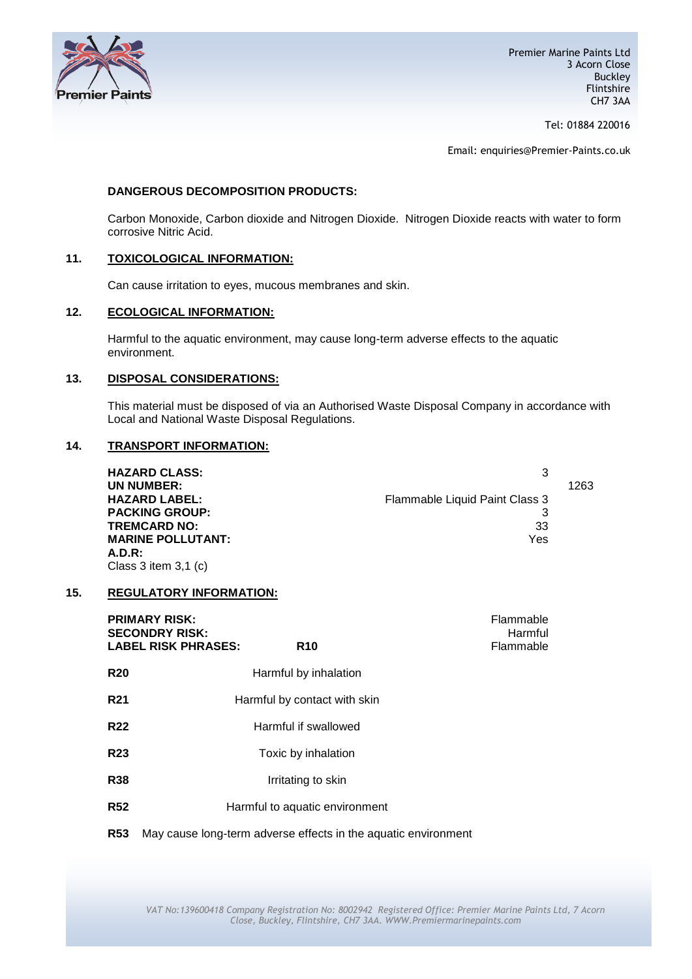

Tel: 01884 220016

Email: enquiries@Premier-Paints.co.uk

### **DANGEROUS DECOMPOSITION PRODUCTS:**

Carbon Monoxide, Carbon dioxide and Nitrogen Dioxide. Nitrogen Dioxide reacts with water to form corrosive Nitric Acid.

### **11. TOXICOLOGICAL INFORMATION:**

Can cause irritation to eyes, mucous membranes and skin.

# **12. ECOLOGICAL INFORMATION:**

Harmful to the aquatic environment, may cause long-term adverse effects to the aquatic environment.

#### **13. DISPOSAL CONSIDERATIONS:**

This material must be disposed of via an Authorised Waste Disposal Company in accordance with Local and National Waste Disposal Regulations.

### **14. TRANSPORT INFORMATION:**

| <b>HAZARD CLASS:</b>     |                                |      |
|--------------------------|--------------------------------|------|
| UN NUMBER:               |                                | 1263 |
| <b>HAZARD LABEL:</b>     | Flammable Liquid Paint Class 3 |      |
| <b>PACKING GROUP:</b>    |                                |      |
| <b>TREMCARD NO:</b>      | 33                             |      |
| <b>MARINE POLLUTANT:</b> | Yes                            |      |
| A.D.R:                   |                                |      |
| Class 3 item $3,1$ (c)   |                                |      |

#### **15. REGULATORY INFORMATION:**

|            | <b>PRIMARY RISK:</b><br><b>SECONDRY RISK:</b><br><b>LABEL RISK PHRASES:</b><br><b>R10</b> | Flammable<br>Harmful<br>Flammable |
|------------|-------------------------------------------------------------------------------------------|-----------------------------------|
| <b>R20</b> | Harmful by inhalation                                                                     |                                   |
| <b>R21</b> | Harmful by contact with skin                                                              |                                   |
| <b>R22</b> | Harmful if swallowed                                                                      |                                   |
| <b>R23</b> | Toxic by inhalation                                                                       |                                   |
| <b>R38</b> | Irritating to skin                                                                        |                                   |
| <b>R52</b> | Harmful to aquatic environment                                                            |                                   |
| <b>R53</b> | May cause long-term adverse effects in the aquatic environment                            |                                   |